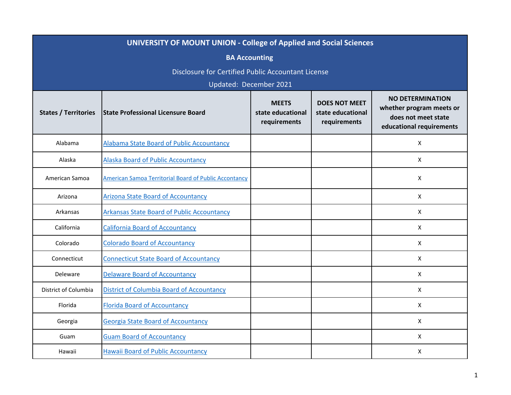| UNIVERSITY OF MOUNT UNION - College of Applied and Social Sciences |                                                       |                                                   |                                                           |                                                                                                        |  |
|--------------------------------------------------------------------|-------------------------------------------------------|---------------------------------------------------|-----------------------------------------------------------|--------------------------------------------------------------------------------------------------------|--|
| <b>BA Accounting</b>                                               |                                                       |                                                   |                                                           |                                                                                                        |  |
| Disclosure for Certified Public Accountant License                 |                                                       |                                                   |                                                           |                                                                                                        |  |
| Updated: December 2021                                             |                                                       |                                                   |                                                           |                                                                                                        |  |
| <b>States / Territories</b>                                        | <b>State Professional Licensure Board</b>             | <b>MEETS</b><br>state educational<br>requirements | <b>DOES NOT MEET</b><br>state educational<br>requirements | <b>NO DETERMINATION</b><br>whether program meets or<br>does not meet state<br>educational requirements |  |
| Alabama                                                            | Alabama State Board of Public Accountancy             |                                                   |                                                           | X                                                                                                      |  |
| Alaska                                                             | <b>Alaska Board of Public Accountancy</b>             |                                                   |                                                           | X                                                                                                      |  |
| American Samoa                                                     | American Samoa Territorial Board of Public Accontancy |                                                   |                                                           | X                                                                                                      |  |
| Arizona                                                            | <b>Arizona State Board of Accountancy</b>             |                                                   |                                                           | X                                                                                                      |  |
| Arkansas                                                           | <b>Arkansas State Board of Public Accountancy</b>     |                                                   |                                                           | $\mathsf{x}$                                                                                           |  |
| California                                                         | <b>California Board of Accountancy</b>                |                                                   |                                                           | X                                                                                                      |  |
| Colorado                                                           | <b>Colorado Board of Accountancy</b>                  |                                                   |                                                           | X                                                                                                      |  |
| Connecticut                                                        | <b>Connecticut State Board of Accountancy</b>         |                                                   |                                                           | X                                                                                                      |  |
| Deleware                                                           | <b>Delaware Board of Accountancy</b>                  |                                                   |                                                           | X                                                                                                      |  |
| District of Columbia                                               | <b>District of Columbia Board of Accountancy</b>      |                                                   |                                                           | $\mathsf{X}$                                                                                           |  |
| Florida                                                            | <b>Florida Board of Accountancy</b>                   |                                                   |                                                           | X                                                                                                      |  |
| Georgia                                                            | <b>Georgia State Board of Accountancy</b>             |                                                   |                                                           | $\mathsf{X}$                                                                                           |  |
| Guam                                                               | <b>Guam Board of Accountancy</b>                      |                                                   |                                                           | X                                                                                                      |  |
| Hawaii                                                             | <b>Hawaii Board of Public Accountancy</b>             |                                                   |                                                           | X                                                                                                      |  |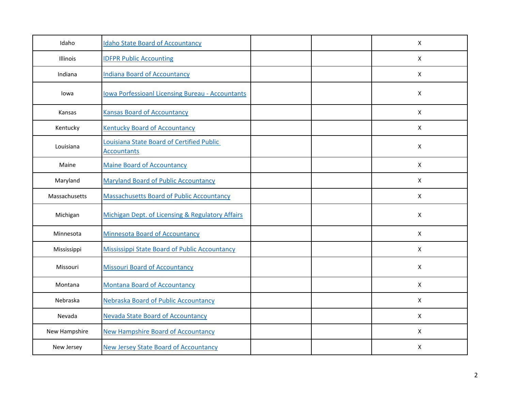| Idaho         | <b>Idaho State Board of Accountancy</b>                                |  | X            |
|---------------|------------------------------------------------------------------------|--|--------------|
| Illinois      | <b>IDFPR Public Accounting</b>                                         |  | $\mathsf{X}$ |
| Indiana       | <b>Indiana Board of Accountancy</b>                                    |  | $\mathsf{X}$ |
| lowa          | <b>Iowa Porfessioanl Licensing Bureau - Accountants</b>                |  | X            |
| Kansas        | <b>Kansas Board of Accountancy</b>                                     |  | X            |
| Kentucky      | <b>Kentucky Board of Accountancy</b>                                   |  | $\mathsf{X}$ |
| Louisiana     | <b>Louisiana State Board of Certified Public</b><br><b>Accountants</b> |  | X            |
| Maine         | <b>Maine Board of Accountancy</b>                                      |  | X            |
| Maryland      | <b>Maryland Board of Public Accountancy</b>                            |  | $\mathsf{X}$ |
| Massachusetts | <b>Massachusetts Board of Public Accountancy</b>                       |  | $\mathsf{X}$ |
| Michigan      | Michigan Dept. of Licensing & Regulatory Affairs                       |  | X            |
| Minnesota     | <b>Minnesota Board of Accountancy</b>                                  |  | $\mathsf{X}$ |
| Mississippi   | Mississippi State Board of Public Accountancy                          |  | $\mathsf{X}$ |
| Missouri      | <b>Missouri Board of Accountancy</b>                                   |  | $\mathsf{X}$ |
| Montana       | <b>Montana Board of Accountancy</b>                                    |  | X            |
| Nebraska      | Nebraska Board of Public Accountancy                                   |  | $\mathsf{X}$ |
| Nevada        | <b>Nevada State Board of Accountancy</b>                               |  | $\mathsf{X}$ |
| New Hampshire | <b>New Hampshire Board of Accountancy</b>                              |  | $\mathsf{X}$ |
| New Jersey    | <b>New Jersey State Board of Accountancy</b>                           |  | X            |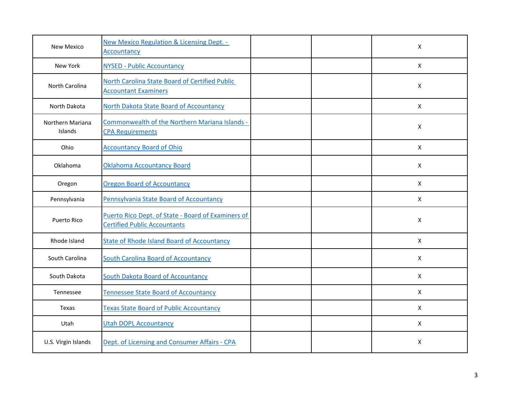| New Mexico                  | <b>New Mexico Regulation &amp; Licensing Dept. -</b><br>Accountancy                       |  | $\boldsymbol{\mathsf{X}}$ |
|-----------------------------|-------------------------------------------------------------------------------------------|--|---------------------------|
| New York                    | <b>NYSED - Public Accountancy</b>                                                         |  | X                         |
| North Carolina              | North Carolina State Board of Certified Public<br><b>Accountant Examiners</b>             |  | X                         |
| North Dakota                | North Dakota State Board of Accountancy                                                   |  | $\times$                  |
| Northern Mariana<br>Islands | Commonwealth of the Northern Mariana Islands -<br><b>CPA Requirements</b>                 |  | X                         |
| Ohio                        | <b>Accountancy Board of Ohio</b>                                                          |  | $\boldsymbol{\mathsf{X}}$ |
| Oklahoma                    | <b>Oklahoma Accountancy Board</b>                                                         |  | $\mathsf{X}$              |
| Oregon                      | <b>Oregon Board of Accountancy</b>                                                        |  | $\mathsf{X}$              |
| Pennsylvania                | Pennsylvania State Board of Accountancy                                                   |  | $\mathsf{X}$              |
| <b>Puerto Rico</b>          | Puerto Rico Dept. of State - Board of Examiners of<br><b>Certified Public Accountants</b> |  | X                         |
| Rhode Island                | <b>State of Rhode Island Board of Accountancy</b>                                         |  | $\mathsf{X}$              |
| South Carolina              | <b>South Carolina Board of Accountancy</b>                                                |  | X                         |
| South Dakota                | <b>South Dakota Board of Accountancy</b>                                                  |  | $\boldsymbol{\mathsf{X}}$ |
| Tennessee                   | Tennessee State Board of Accountancy                                                      |  | $\times$                  |
| Texas                       | <b>Texas State Board of Public Accountancy</b>                                            |  | $\mathsf{x}$              |
| Utah                        | <b>Utah DOPL Accountancy</b>                                                              |  | $\mathsf{X}$              |
| U.S. Virgin Islands         | Dept. of Licensing and Consumer Affairs - CPA                                             |  | X                         |